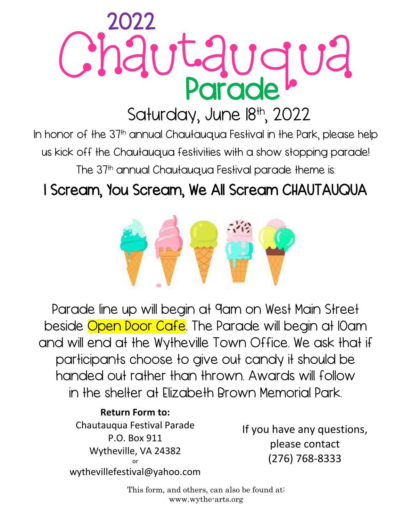## Chautauqua Ļ Parade<sup>l</sup> 2022

### Saturday, June 18th, 2022

In honor of the 37<sup>th</sup> annual Chautauqua Festival in the Park, please help us kick off the Chautauqua festivities with a show stopping parade! The 37<sup>th</sup> annual Chautauqua Festival parade theme is:

### I Scream, You Scream, We All Scream CHAUTAUQUA



Parade line up will begin at 9am on West Main Street beside Open Door Cafe. The Parade will begin at 10am and will end at the Wytheville Town Office. We ask that if participants choose to give out candy it should be handed out rather than thrown. Awards will follow in the shelter at Elizabeth Brown Memorial Park.

#### **Return Form to:** Chautauqua Festival Parade P.O. Box 911

Wytheville, VA 24382 or wythevillefestival@yahoo.com If you have any questions, please contact (276) 768-8333

This form, and others, can also be found at: www.wythe-arts.org